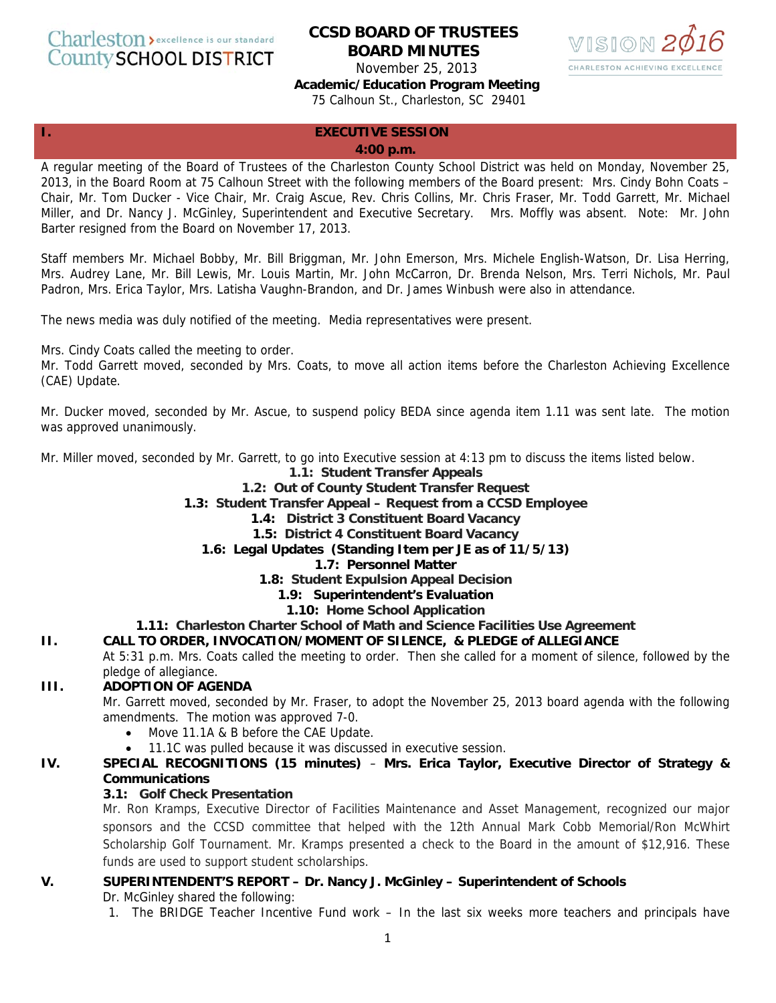Charleston > excellence is our standard **County SCHOOL DISTRICT** 

# **CCSD BOARD OF TRUSTEES BOARD MINUTES**



November 25, 2013

**Academic/Education Program Meeting** 

75 Calhoun St., Charleston, SC 29401

#### **I. EXECUTIVE SESSION 4:00 p.m.**

A regular meeting of the Board of Trustees of the Charleston County School District was held on Monday, November 25, 2013, in the Board Room at 75 Calhoun Street with the following members of the Board present: Mrs. Cindy Bohn Coats – Chair, Mr. Tom Ducker - Vice Chair, Mr. Craig Ascue, Rev. Chris Collins, Mr. Chris Fraser, Mr. Todd Garrett, Mr. Michael Miller, and Dr. Nancy J. McGinley, Superintendent and Executive Secretary. Mrs. Moffly was absent. Note: Mr. John Barter resigned from the Board on November 17, 2013.

Staff members Mr. Michael Bobby, Mr. Bill Briggman, Mr. John Emerson, Mrs. Michele English-Watson, Dr. Lisa Herring, Mrs. Audrey Lane, Mr. Bill Lewis, Mr. Louis Martin, Mr. John McCarron, Dr. Brenda Nelson, Mrs. Terri Nichols, Mr. Paul Padron, Mrs. Erica Taylor, Mrs. Latisha Vaughn-Brandon, and Dr. James Winbush were also in attendance.

The news media was duly notified of the meeting. Media representatives were present.

Mrs. Cindy Coats called the meeting to order.

Mr. Todd Garrett moved, seconded by Mrs. Coats, to move all action items before the Charleston Achieving Excellence (CAE) Update.

Mr. Ducker moved, seconded by Mr. Ascue, to suspend policy BEDA since agenda item 1.11 was sent late. The motion was approved unanimously.

Mr. Miller moved, seconded by Mr. Garrett, to go into Executive session at 4:13 pm to discuss the items listed below.

### **1.1: Student Transfer Appeals**

### **1.2: Out of County Student Transfer Request**

**1.3: Student Transfer Appeal – Request from a CCSD Employee** 

- **1.4: District 3 Constituent Board Vacancy**
- **1.5: District 4 Constituent Board Vacancy**
- **1.6: Legal Updates (Standing Item per JE as of 11/5/13)**

#### **1.7: Personnel Matter**

- **1.8: Student Expulsion Appeal Decision** 
	- **1.9: Superintendent's Evaluation**
	- **1.10: Home School Application**

#### **1.11: Charleston Charter School of Math and Science Facilities Use Agreement**

### **II. CALL TO ORDER, INVOCATION/MOMENT OF SILENCE, & PLEDGE of ALLEGIANCE**

At 5:31 p.m. Mrs. Coats called the meeting to order. Then she called for a moment of silence, followed by the pledge of allegiance.

### **III. ADOPTION OF AGENDA**

Mr. Garrett moved, seconded by Mr. Fraser, to adopt the November 25, 2013 board agenda with the following amendments. The motion was approved 7-0.

- Move 11.1A & B before the CAE Update.
- 11.1C was pulled because it was discussed in executive session.

### **IV. SPECIAL RECOGNITIONS (15 minutes)** – **Mrs. Erica Taylor, Executive Director of Strategy & Communications**

### **3.1: Golf Check Presentation**

Mr. Ron Kramps, Executive Director of Facilities Maintenance and Asset Management, recognized our major sponsors and the CCSD committee that helped with the 12th Annual Mark Cobb Memorial/Ron McWhirt Scholarship Golf Tournament. Mr. Kramps presented a check to the Board in the amount of \$12,916. These funds are used to support student scholarships.

# **V. SUPERINTENDENT'S REPORT – Dr. Nancy J. McGinley – Superintendent of Schools**

Dr. McGinley shared the following:

1. The BRIDGE Teacher Incentive Fund work – In the last six weeks more teachers and principals have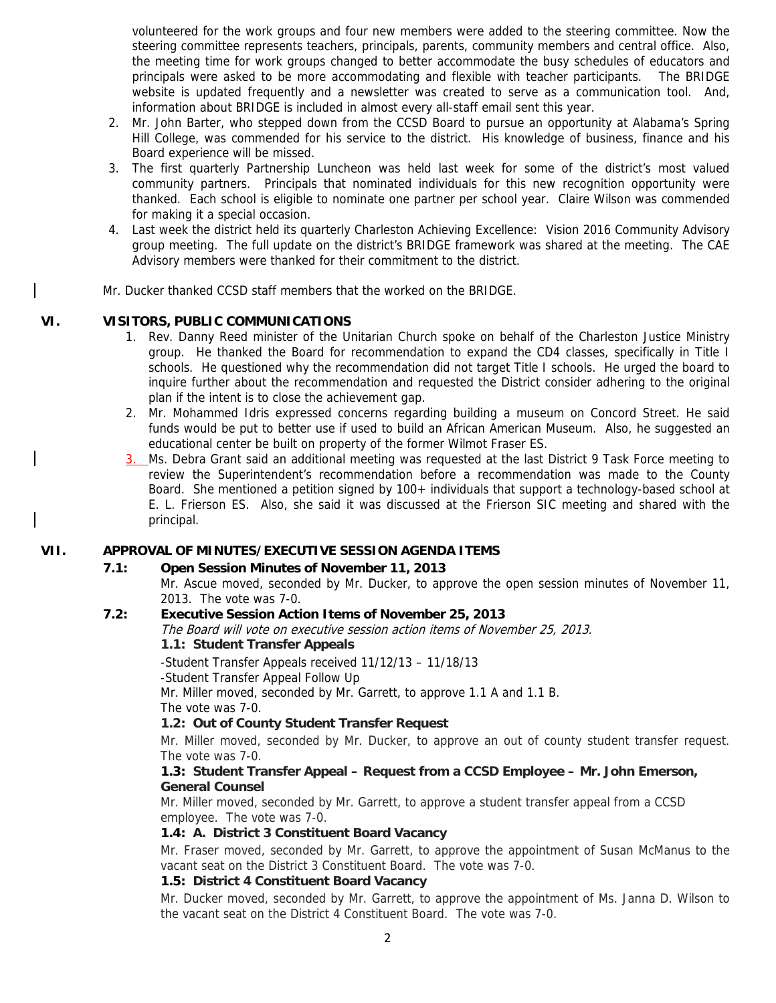volunteered for the work groups and four new members were added to the steering committee. Now the steering committee represents teachers, principals, parents, community members and central office. Also, the meeting time for work groups changed to better accommodate the busy schedules of educators and principals were asked to be more accommodating and flexible with teacher participants. The BRIDGE website is updated frequently and a newsletter was created to serve as a communication tool. And, information about BRIDGE is included in almost every all-staff email sent this year.

- 2. Mr. John Barter, who stepped down from the CCSD Board to pursue an opportunity at Alabama's Spring Hill College, was commended for his service to the district. His knowledge of business, finance and his Board experience will be missed.
- 3. The first quarterly Partnership Luncheon was held last week for some of the district's most valued community partners. Principals that nominated individuals for this new recognition opportunity were thanked. Each school is eligible to nominate one partner per school year. Claire Wilson was commended for making it a special occasion.
- 4. Last week the district held its quarterly Charleston Achieving Excellence: Vision 2016 Community Advisory group meeting. The full update on the district's BRIDGE framework was shared at the meeting. The CAE Advisory members were thanked for their commitment to the district.
- Mr. Ducker thanked CCSD staff members that the worked on the BRIDGE.

### **VI. VISITORS, PUBLIC COMMUNICATIONS**

- 1. Rev. Danny Reed minister of the Unitarian Church spoke on behalf of the Charleston Justice Ministry group. He thanked the Board for recommendation to expand the CD4 classes, specifically in Title I schools. He questioned why the recommendation did not target Title I schools. He urged the board to inquire further about the recommendation and requested the District consider adhering to the original plan if the intent is to close the achievement gap.
- 2. Mr. Mohammed Idris expressed concerns regarding building a museum on Concord Street. He said funds would be put to better use if used to build an African American Museum. Also, he suggested an educational center be built on property of the former Wilmot Fraser ES.
- 3. Ms. Debra Grant said an additional meeting was requested at the last District 9 Task Force meeting to review the Superintendent's recommendation before a recommendation was made to the County Board. She mentioned a petition signed by 100+ individuals that support a technology-based school at E. L. Frierson ES. Also, she said it was discussed at the Frierson SIC meeting and shared with the principal.

### **VII. APPROVAL OF MINUTES/EXECUTIVE SESSION AGENDA ITEMS**

### **7.1: Open Session Minutes of November 11, 2013**

Mr. Ascue moved, seconded by Mr. Ducker, to approve the open session minutes of November 11, 2013. The vote was 7-0.

### **7.2: Executive Session Action Items of November 25, 2013**

The Board will vote on executive session action items of November 25, 2013.

### **1.1: Student Transfer Appeals**

-Student Transfer Appeals received 11/12/13 – 11/18/13

-Student Transfer Appeal Follow Up

Mr. Miller moved, seconded by Mr. Garrett, to approve 1.1 A and 1.1 B.

The vote was 7-0.

### **1.2: Out of County Student Transfer Request**

Mr. Miller moved, seconded by Mr. Ducker, to approve an out of county student transfer request. The vote was 7-0.

### **1.3: Student Transfer Appeal – Request from a CCSD Employee – Mr. John Emerson, General Counsel**

Mr. Miller moved, seconded by Mr. Garrett, to approve a student transfer appeal from a CCSD employee. The vote was 7-0.

### **1.4: A. District 3 Constituent Board Vacancy**

Mr. Fraser moved, seconded by Mr. Garrett, to approve the appointment of Susan McManus to the vacant seat on the District 3 Constituent Board. The vote was 7-0.

### **1.5: District 4 Constituent Board Vacancy**

Mr. Ducker moved, seconded by Mr. Garrett, to approve the appointment of Ms. Janna D. Wilson to the vacant seat on the District 4 Constituent Board. The vote was 7-0.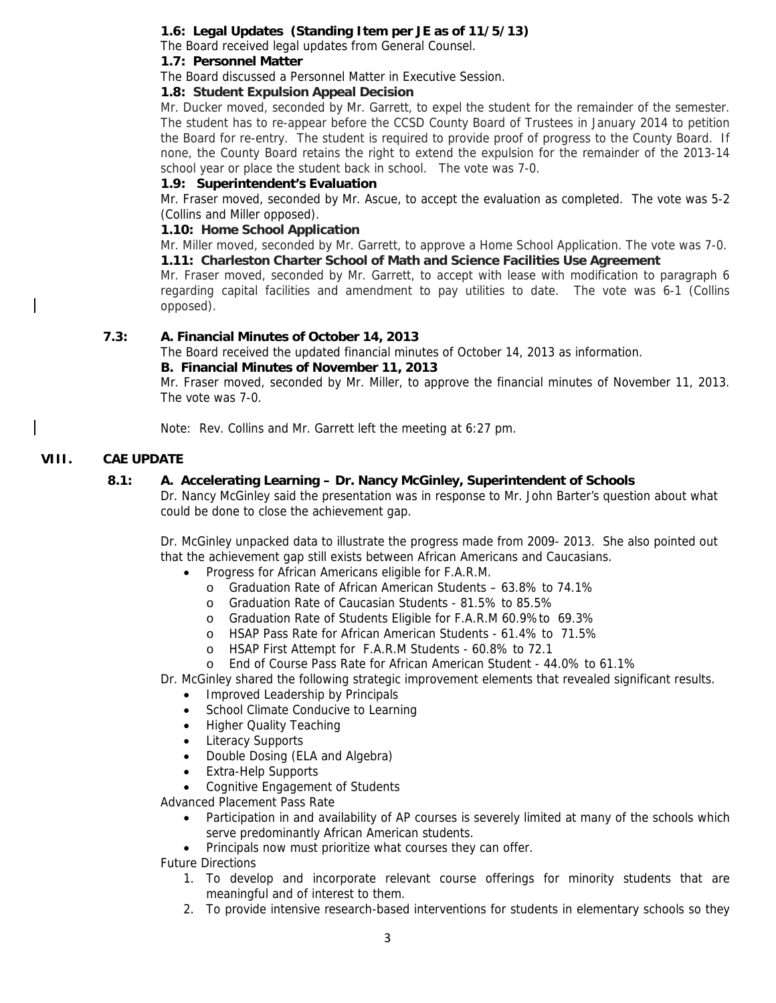## **1.6: Legal Updates (Standing Item per JE as of 11/5/13)**

The Board received legal updates from General Counsel.

## **1.7: Personnel Matter**

The Board discussed a Personnel Matter in Executive Session.

#### **1.8: Student Expulsion Appeal Decision**

Mr. Ducker moved, seconded by Mr. Garrett, to expel the student for the remainder of the semester. The student has to re-appear before the CCSD County Board of Trustees in January 2014 to petition the Board for re-entry. The student is required to provide proof of progress to the County Board. If none, the County Board retains the right to extend the expulsion for the remainder of the 2013-14 school year or place the student back in school. The vote was 7-0.

### **1.9: Superintendent's Evaluation**

Mr. Fraser moved, seconded by Mr. Ascue, to accept the evaluation as completed. The vote was 5-2 (Collins and Miller opposed).

#### **1.10: Home School Application**

Mr. Miller moved, seconded by Mr. Garrett, to approve a Home School Application. The vote was 7-0. **1.11: Charleston Charter School of Math and Science Facilities Use Agreement** 

Mr. Fraser moved, seconded by Mr. Garrett, to accept with lease with modification to paragraph 6 regarding capital facilities and amendment to pay utilities to date. The vote was 6-1 (Collins opposed).

### **7.3: A. Financial Minutes of October 14, 2013**

The Board received the updated financial minutes of October 14, 2013 as information.

#### **B. Financial Minutes of November 11, 2013**

Mr. Fraser moved, seconded by Mr. Miller, to approve the financial minutes of November 11, 2013. The vote was 7-0.

Note: Rev. Collins and Mr. Garrett left the meeting at 6:27 pm.

### **VIII. CAE UPDATE**

### **8.1: A. Accelerating Learning – Dr. Nancy McGinley, Superintendent of Schools**

Dr. Nancy McGinley said the presentation was in response to Mr. John Barter's question about what could be done to close the achievement gap.

Dr. McGinley unpacked data to illustrate the progress made from 2009- 2013. She also pointed out that the achievement gap still exists between African Americans and Caucasians.

- Progress for African Americans eligible for F.A.R.M.
	- o Graduation Rate of African American Students 63.8% to 74.1%
	- o Graduation Rate of Caucasian Students 81.5% to 85.5%
	- o Graduation Rate of Students Eligible for F.A.R.M 60.9%to 69.3%
	- o HSAP Pass Rate for African American Students 61.4% to 71.5%
	- o HSAP First Attempt for F.A.R.M Students 60.8% to 72.1
- o End of Course Pass Rate for African American Student 44.0% to 61.1%

Dr. McGinley shared the following strategic improvement elements that revealed significant results.

- Improved Leadership by Principals
- School Climate Conducive to Learning
- Higher Quality Teaching
- **Literacy Supports**
- Double Dosing (ELA and Algebra)
- Extra-Help Supports
- Cognitive Engagement of Students

Advanced Placement Pass Rate

- Participation in and availability of AP courses is severely limited at many of the schools which serve predominantly African American students.
- Principals now must prioritize what courses they can offer.
- Future Directions
	- 1. To develop and incorporate relevant course offerings for minority students that are meaningful and of interest to them.
	- 2. To provide intensive research-based interventions for students in elementary schools so they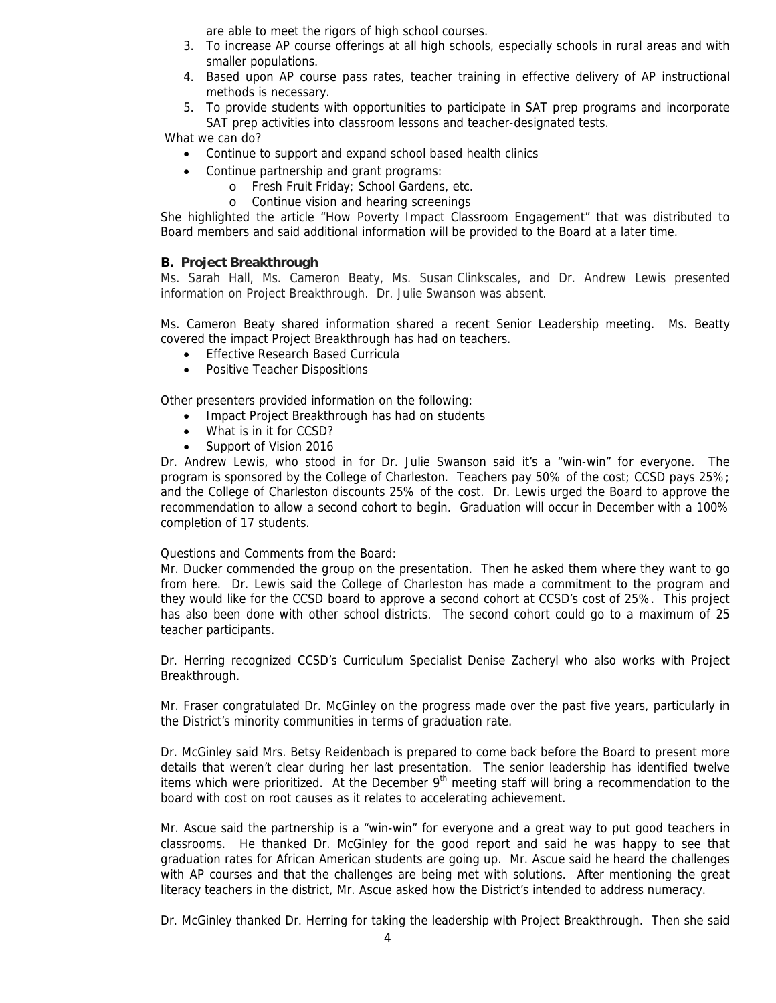are able to meet the rigors of high school courses.

- 3. To increase AP course offerings at all high schools, especially schools in rural areas and with smaller populations.
- 4. Based upon AP course pass rates, teacher training in effective delivery of AP instructional methods is necessary.
- 5. To provide students with opportunities to participate in SAT prep programs and incorporate SAT prep activities into classroom lessons and teacher-designated tests.

What we can do?

- Continue to support and expand school based health clinics
	- Continue partnership and grant programs:
		- o Fresh Fruit Friday; School Gardens, etc.
		- o Continue vision and hearing screenings

She highlighted the article "How Poverty Impact Classroom Engagement" that was distributed to Board members and said additional information will be provided to the Board at a later time.

### **B. Project Breakthrough**

Ms. Sarah Hall, Ms. Cameron Beaty, Ms. Susan Clinkscales, and Dr. Andrew Lewis presented information on Project Breakthrough. Dr. Julie Swanson was absent.

Ms. Cameron Beaty shared information shared a recent Senior Leadership meeting. Ms. Beatty covered the impact Project Breakthrough has had on teachers.

- Effective Research Based Curricula
- Positive Teacher Dispositions

Other presenters provided information on the following:

- Impact Project Breakthrough has had on students
- What is in it for CCSD?
- Support of Vision 2016

Dr. Andrew Lewis, who stood in for Dr. Julie Swanson said it's a "win-win" for everyone. The program is sponsored by the College of Charleston. Teachers pay 50% of the cost; CCSD pays 25%; and the College of Charleston discounts 25% of the cost. Dr. Lewis urged the Board to approve the recommendation to allow a second cohort to begin. Graduation will occur in December with a 100% completion of 17 students.

Questions and Comments from the Board:

Mr. Ducker commended the group on the presentation. Then he asked them where they want to go from here. Dr. Lewis said the College of Charleston has made a commitment to the program and they would like for the CCSD board to approve a second cohort at CCSD's cost of 25%. This project has also been done with other school districts. The second cohort could go to a maximum of 25 teacher participants.

Dr. Herring recognized CCSD's Curriculum Specialist Denise Zacheryl who also works with Project Breakthrough.

Mr. Fraser congratulated Dr. McGinley on the progress made over the past five years, particularly in the District's minority communities in terms of graduation rate.

Dr. McGinley said Mrs. Betsy Reidenbach is prepared to come back before the Board to present more details that weren't clear during her last presentation. The senior leadership has identified twelve items which were prioritized. At the December  $9<sup>th</sup>$  meeting staff will bring a recommendation to the board with cost on root causes as it relates to accelerating achievement.

Mr. Ascue said the partnership is a "win-win" for everyone and a great way to put good teachers in classrooms. He thanked Dr. McGinley for the good report and said he was happy to see that graduation rates for African American students are going up. Mr. Ascue said he heard the challenges with AP courses and that the challenges are being met with solutions. After mentioning the great literacy teachers in the district, Mr. Ascue asked how the District's intended to address numeracy.

Dr. McGinley thanked Dr. Herring for taking the leadership with Project Breakthrough. Then she said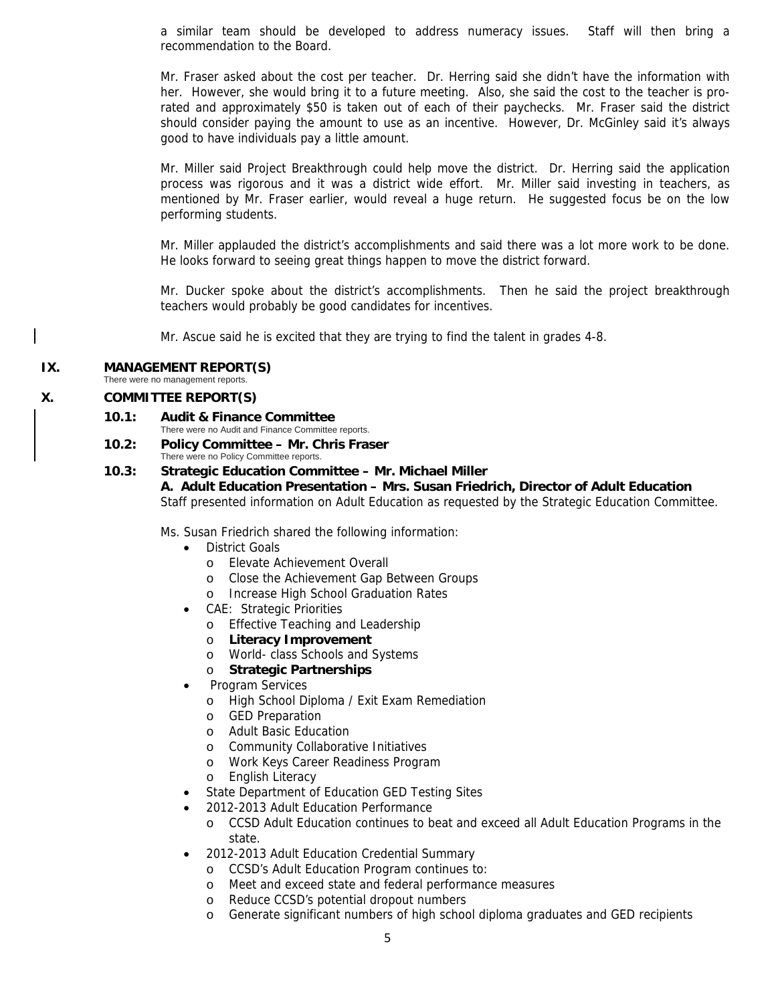a similar team should be developed to address numeracy issues. Staff will then bring a recommendation to the Board.

Mr. Fraser asked about the cost per teacher. Dr. Herring said she didn't have the information with her. However, she would bring it to a future meeting. Also, she said the cost to the teacher is prorated and approximately \$50 is taken out of each of their paychecks. Mr. Fraser said the district should consider paying the amount to use as an incentive. However, Dr. McGinley said it's always good to have individuals pay a little amount.

Mr. Miller said Project Breakthrough could help move the district. Dr. Herring said the application process was rigorous and it was a district wide effort. Mr. Miller said investing in teachers, as mentioned by Mr. Fraser earlier, would reveal a huge return. He suggested focus be on the low performing students.

Mr. Miller applauded the district's accomplishments and said there was a lot more work to be done. He looks forward to seeing great things happen to move the district forward.

Mr. Ducker spoke about the district's accomplishments. Then he said the project breakthrough teachers would probably be good candidates for incentives.

Mr. Ascue said he is excited that they are trying to find the talent in grades 4-8.

### **IX. MANAGEMENT REPORT(S)**

There were no management reports.

#### **X. COMMITTEE REPORT(S)**

- **10.1: Audit & Finance Committee** 
	- There were no Audit and Finance Committee reports.
- **10.2: Policy Committee Mr. Chris Fraser** There were no Policy Committee reports.
- **10.3: Strategic Education Committee Mr. Michael Miller A. Adult Education Presentation – Mrs. Susan Friedrich, Director of Adult Education** Staff presented information on Adult Education as requested by the Strategic Education Committee.

Ms. Susan Friedrich shared the following information:

- District Goals
	- o Elevate Achievement Overall
	- o Close the Achievement Gap Between Groups
	- o Increase High School Graduation Rates
- CAE: Strategic Priorities
	- o Effective Teaching and Leadership
	- o **Literacy Improvement**
	- o World- class Schools and Systems

#### o **Strategic Partnerships**

- Program Services
	- o High School Diploma / Exit Exam Remediation
	- o GED Preparation
	- o Adult Basic Education
	- o Community Collaborative Initiatives
	- o Work Keys Career Readiness Program
	- o English Literacy
	- State Department of Education GED Testing Sites
- 2012-2013 Adult Education Performance
	- o CCSD Adult Education continues to beat and exceed all Adult Education Programs in the state.
- 2012-2013 Adult Education Credential Summary
	- o CCSD's Adult Education Program continues to:
	- o Meet and exceed state and federal performance measures
	- o Reduce CCSD's potential dropout numbers
	- o Generate significant numbers of high school diploma graduates and GED recipients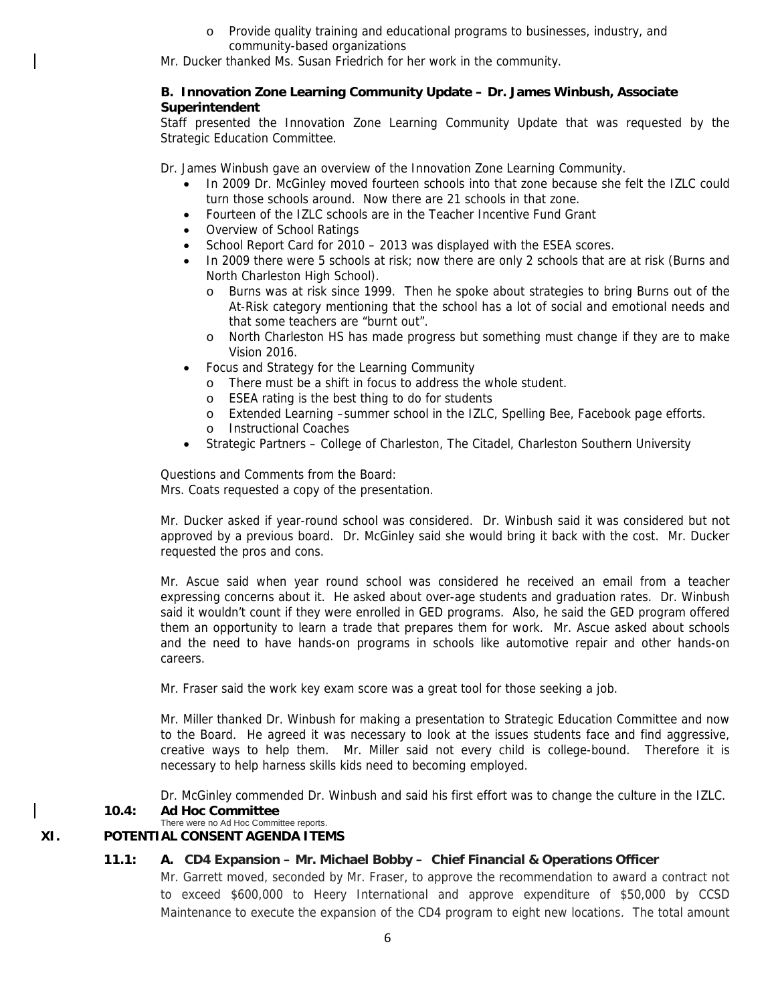o Provide quality training and educational programs to businesses, industry, and community-based organizations

Mr. Ducker thanked Ms. Susan Friedrich for her work in the community.

#### **B. Innovation Zone Learning Community Update – Dr. James Winbush, Associate Superintendent**

Staff presented the Innovation Zone Learning Community Update that was requested by the Strategic Education Committee.

Dr. James Winbush gave an overview of the Innovation Zone Learning Community.

- In 2009 Dr. McGinley moved fourteen schools into that zone because she felt the IZLC could turn those schools around. Now there are 21 schools in that zone.
- Fourteen of the IZLC schools are in the Teacher Incentive Fund Grant
- Overview of School Ratings
- School Report Card for 2010 2013 was displayed with the ESEA scores.
- In 2009 there were 5 schools at risk; now there are only 2 schools that are at risk (Burns and North Charleston High School).
	- o Burns was at risk since 1999. Then he spoke about strategies to bring Burns out of the At-Risk category mentioning that the school has a lot of social and emotional needs and that some teachers are "burnt out".
	- o North Charleston HS has made progress but something must change if they are to make Vision 2016.
- Focus and Strategy for the Learning Community
	- There must be a shift in focus to address the whole student.
	- o ESEA rating is the best thing to do for students
	- o Extended Learning –summer school in the IZLC, Spelling Bee, Facebook page efforts.
	- o Instructional Coaches
- Strategic Partners College of Charleston, The Citadel, Charleston Southern University

Questions and Comments from the Board: Mrs. Coats requested a copy of the presentation.

Mr. Ducker asked if year-round school was considered. Dr. Winbush said it was considered but not approved by a previous board. Dr. McGinley said she would bring it back with the cost. Mr. Ducker requested the pros and cons.

Mr. Ascue said when year round school was considered he received an email from a teacher expressing concerns about it. He asked about over-age students and graduation rates. Dr. Winbush said it wouldn't count if they were enrolled in GED programs. Also, he said the GED program offered them an opportunity to learn a trade that prepares them for work. Mr. Ascue asked about schools and the need to have hands-on programs in schools like automotive repair and other hands-on careers.

Mr. Fraser said the work key exam score was a great tool for those seeking a job.

Mr. Miller thanked Dr. Winbush for making a presentation to Strategic Education Committee and now to the Board. He agreed it was necessary to look at the issues students face and find aggressive, creative ways to help them. Mr. Miller said not every child is college-bound. Therefore it is necessary to help harness skills kids need to becoming employed.

Dr. McGinley commended Dr. Winbush and said his first effort was to change the culture in the IZLC.

#### **10.4: Ad Hoc Committee**

#### There were no Ad Hoc Committee reports. **XI. POTENTIAL CONSENT AGENDA ITEMS**

### **11.1: A. CD4 Expansion – Mr. Michael Bobby – Chief Financial & Operations Officer**

Mr. Garrett moved, seconded by Mr. Fraser, to approve the recommendation to award a contract not to exceed \$600,000 to Heery International and approve expenditure of \$50,000 by CCSD Maintenance to execute the expansion of the CD4 program to eight new locations. The total amount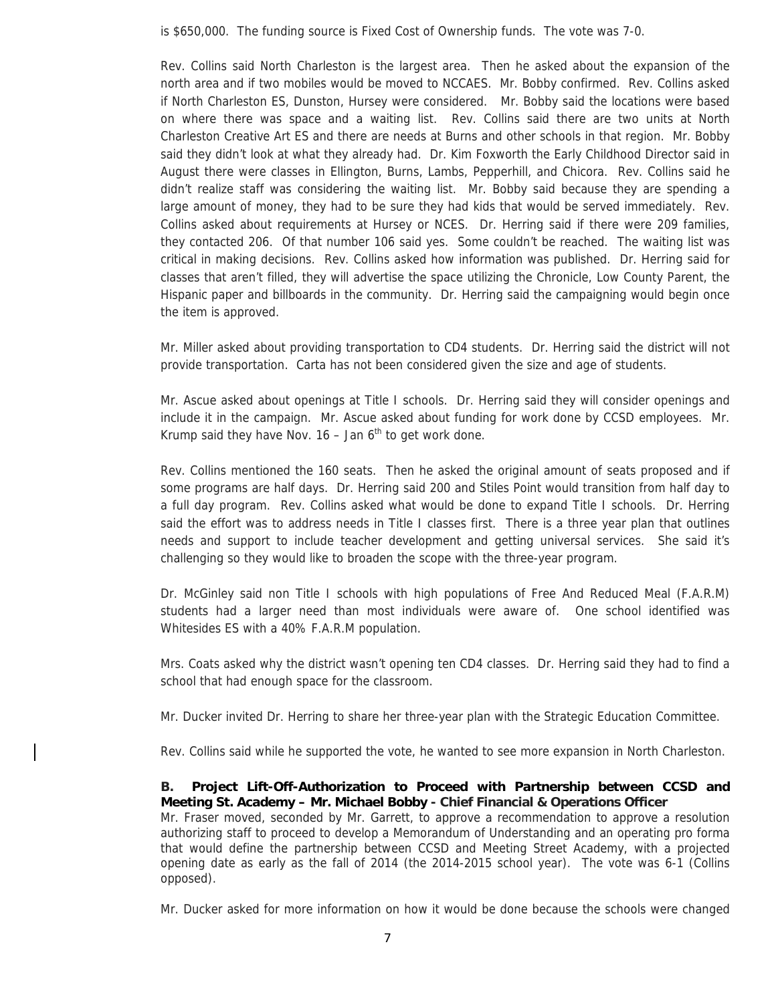is \$650,000. The funding source is Fixed Cost of Ownership funds. The vote was 7-0.

Rev. Collins said North Charleston is the largest area. Then he asked about the expansion of the north area and if two mobiles would be moved to NCCAES. Mr. Bobby confirmed. Rev. Collins asked if North Charleston ES, Dunston, Hursey were considered. Mr. Bobby said the locations were based on where there was space and a waiting list. Rev. Collins said there are two units at North Charleston Creative Art ES and there are needs at Burns and other schools in that region. Mr. Bobby said they didn't look at what they already had. Dr. Kim Foxworth the Early Childhood Director said in August there were classes in Ellington, Burns, Lambs, Pepperhill, and Chicora. Rev. Collins said he didn't realize staff was considering the waiting list. Mr. Bobby said because they are spending a large amount of money, they had to be sure they had kids that would be served immediately. Rev. Collins asked about requirements at Hursey or NCES. Dr. Herring said if there were 209 families, they contacted 206. Of that number 106 said yes. Some couldn't be reached. The waiting list was critical in making decisions. Rev. Collins asked how information was published. Dr. Herring said for classes that aren't filled, they will advertise the space utilizing the Chronicle, Low County Parent, the Hispanic paper and billboards in the community. Dr. Herring said the campaigning would begin once the item is approved.

Mr. Miller asked about providing transportation to CD4 students. Dr. Herring said the district will not provide transportation. Carta has not been considered given the size and age of students.

Mr. Ascue asked about openings at Title I schools. Dr. Herring said they will consider openings and include it in the campaign. Mr. Ascue asked about funding for work done by CCSD employees. Mr. Krump said they have Nov.  $16 -$  Jan  $6<sup>th</sup>$  to get work done.

Rev. Collins mentioned the 160 seats. Then he asked the original amount of seats proposed and if some programs are half days. Dr. Herring said 200 and Stiles Point would transition from half day to a full day program. Rev. Collins asked what would be done to expand Title I schools. Dr. Herring said the effort was to address needs in Title I classes first. There is a three year plan that outlines needs and support to include teacher development and getting universal services. She said it's challenging so they would like to broaden the scope with the three-year program.

Dr. McGinley said non Title I schools with high populations of Free And Reduced Meal (F.A.R.M) students had a larger need than most individuals were aware of. One school identified was Whitesides ES with a 40% F.A.R.M population.

Mrs. Coats asked why the district wasn't opening ten CD4 classes. Dr. Herring said they had to find a school that had enough space for the classroom.

Mr. Ducker invited Dr. Herring to share her three-year plan with the Strategic Education Committee.

Rev. Collins said while he supported the vote, he wanted to see more expansion in North Charleston.

### **B. Project Lift-Off-Authorization to Proceed with Partnership between CCSD and Meeting St. Academy – Mr. Michael Bobby - Chief Financial & Operations Officer**

Mr. Fraser moved, seconded by Mr. Garrett, to approve a recommendation to approve a resolution authorizing staff to proceed to develop a Memorandum of Understanding and an operating pro forma that would define the partnership between CCSD and Meeting Street Academy, with a projected opening date as early as the fall of 2014 (the 2014-2015 school year). The vote was 6-1 (Collins opposed).

Mr. Ducker asked for more information on how it would be done because the schools were changed